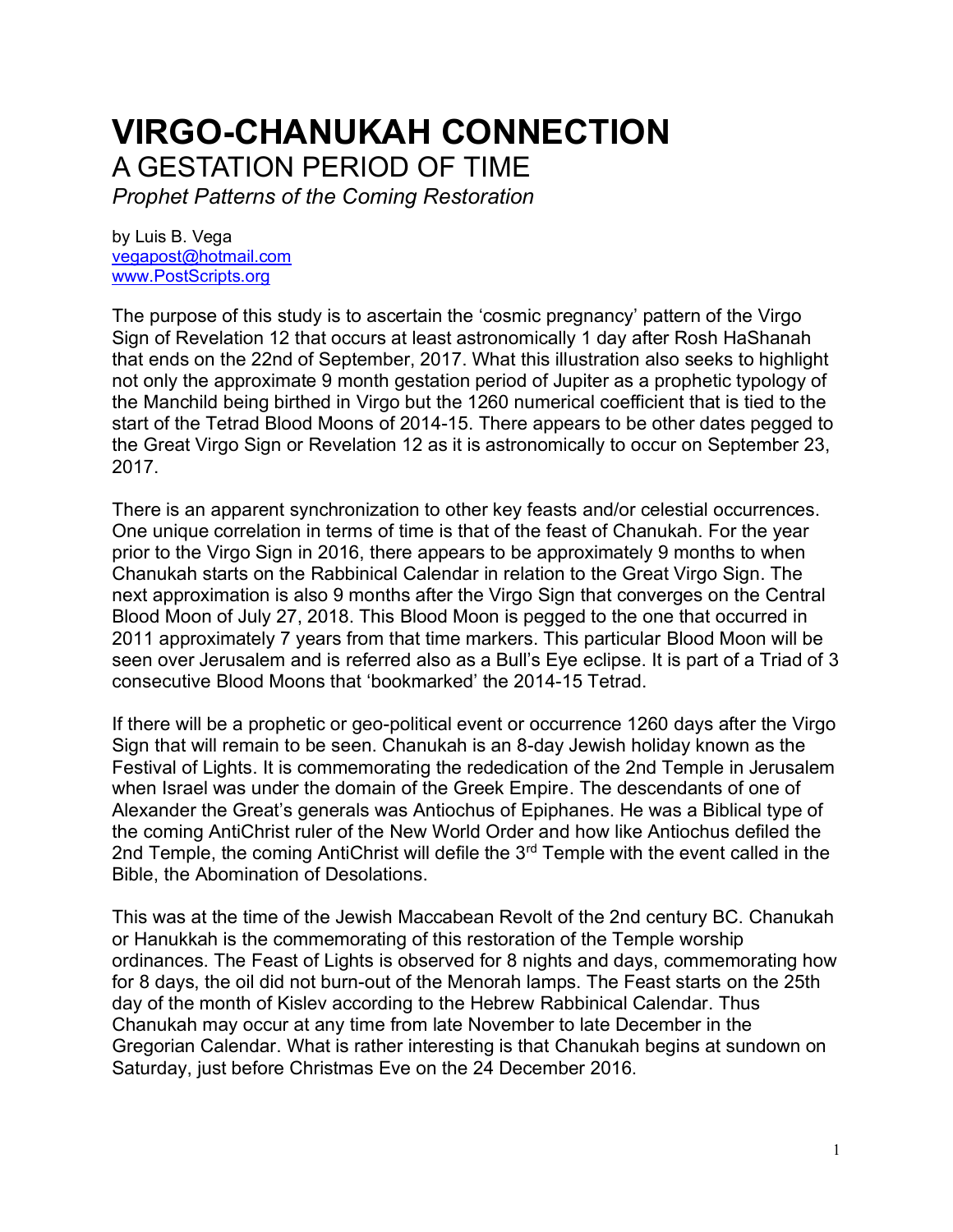# **VIRGO-CHANUKAH CONNECTION** A GESTATION PERIOD OF TIME

*Prophet Patterns of the Coming Restoration*

by Luis B. Vega [vegapost@hotmail.com](mailto:vegapost@hotmail.com) [www.PostScripts.org](http://www.postscripts.org/)

The purpose of this study is to ascertain the 'cosmic pregnancy' pattern of the Virgo Sign of Revelation 12 that occurs at least astronomically 1 day after Rosh HaShanah that ends on the 22nd of September, 2017. What this illustration also seeks to highlight not only the approximate 9 month gestation period of Jupiter as a prophetic typology of the Manchild being birthed in Virgo but the 1260 numerical coefficient that is tied to the start of the Tetrad Blood Moons of 2014-15. There appears to be other dates pegged to the Great Virgo Sign or Revelation 12 as it is astronomically to occur on September 23, 2017.

There is an apparent synchronization to other key feasts and/or celestial occurrences. One unique correlation in terms of time is that of the feast of Chanukah. For the year prior to the Virgo Sign in 2016, there appears to be approximately 9 months to when Chanukah starts on the Rabbinical Calendar in relation to the Great Virgo Sign. The next approximation is also 9 months after the Virgo Sign that converges on the Central Blood Moon of July 27, 2018. This Blood Moon is pegged to the one that occurred in 2011 approximately 7 years from that time markers. This particular Blood Moon will be seen over Jerusalem and is referred also as a Bull's Eye eclipse. It is part of a Triad of 3 consecutive Blood Moons that 'bookmarked' the 2014-15 Tetrad.

If there will be a prophetic or geo-political event or occurrence 1260 days after the Virgo Sign that will remain to be seen. Chanukah is an 8-day Jewish holiday known as the Festival of Lights. It is commemorating the rededication of the 2nd Temple in Jerusalem when Israel was under the domain of the Greek Empire. The descendants of one of Alexander the Great's generals was Antiochus of Epiphanes. He was a Biblical type of the coming AntiChrist ruler of the New World Order and how like Antiochus defiled the 2nd Temple, the coming AntiChrist will defile the 3<sup>rd</sup> Temple with the event called in the Bible, the Abomination of Desolations.

This was at the time of the Jewish Maccabean Revolt of the 2nd century BC. Chanukah or Hanukkah is the commemorating of this restoration of the Temple worship ordinances. The Feast of Lights is observed for 8 nights and days, commemorating how for 8 days, the oil did not burn-out of the Menorah lamps. The Feast starts on the 25th day of the month of Kislev according to the Hebrew Rabbinical Calendar. Thus Chanukah may occur at any time from late November to late December in the Gregorian Calendar. What is rather interesting is that Chanukah begins at sundown on Saturday, just before Christmas Eve on the 24 December 2016.